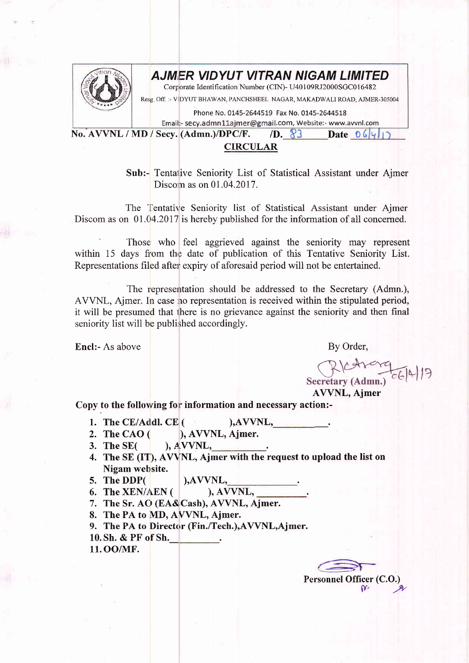

## AJMER VIDYUT VITRAN NIGAM LIMITED

Corporate Identification Number (CIN)- U40109RJ2000SGC016482

Resg. Off. :- VIDYUT BHAWAN, PANCHSHEEL NAGAR, MAKADWALI ROAD, AJMER-305004

Phone No. 0145-2644519 Fax No. 0145-2644518

Email:- secy.admn11ajmer@gmail.com, Website:- www.avvnl.com No. AVVNL / MD / Secy. (Admn.)/DPC/F.  $\Box$ D. 83 Date O 6 9

## CIRCULAR

Sub:- Tentalive Seniority List of Statistical Assistant under Ajmer Discom as on 01.04.2017.

The Tentative Seniority list of Statistical Assistant under Ajmer Discom as on 01.04.2017 is hereby published for the information of all concerned.

Those who feel aggrieved against the seniority may represent within 15 days from the date of publication of this Tentative Seniority List. Representations filed after expiry of aforesaid period will not be entertained.

The representation should be addressed to the Secretary (Admn.) AVVNL, Ajmer. In case no representation is received within the stipulated period it will be presumed that there is no grievance against the seniority and then final seniority list will be published accordingly.

Encl:- As above

By Order,

Secretary (Admn.) 06/4/17

AWNL, Ajmer

Copy to the following for information and necessary action:-

- 
- 1. The CE/Addl. CE  $($  ), AVVNL, 2. The CAO  $($  ), AVVNL, Ajmer. 2. The CAO  $($   $)$ , AVVNL, Ajmer.<br>3. The SE $($   $)$ , AVVNL,
- $A$  VVNL,
- 4. The SE (IT), AVVNL, Ajmer with the request to upload the list on Nigam website.
- 
- 5. The DDP( $\begin{array}{c}$  ),AVVNL,<br>6. The XEN/AEN ( $\end{array}$ ), AVVNL, 6. The XEN/AEN (
- 7. The Sr. AO (EA&Cash), AVVNL, Ajmer.
- 8. The PA to MD, AYVNL, Ajmer.
- 9. The PA to Director (Fin./Tech.),AWNL,Ajmer.
- 10. Sh. & PF of Sh.
- 11. OO/MF.

Personnel Officer (C.O.)  $n.$   $\mu$